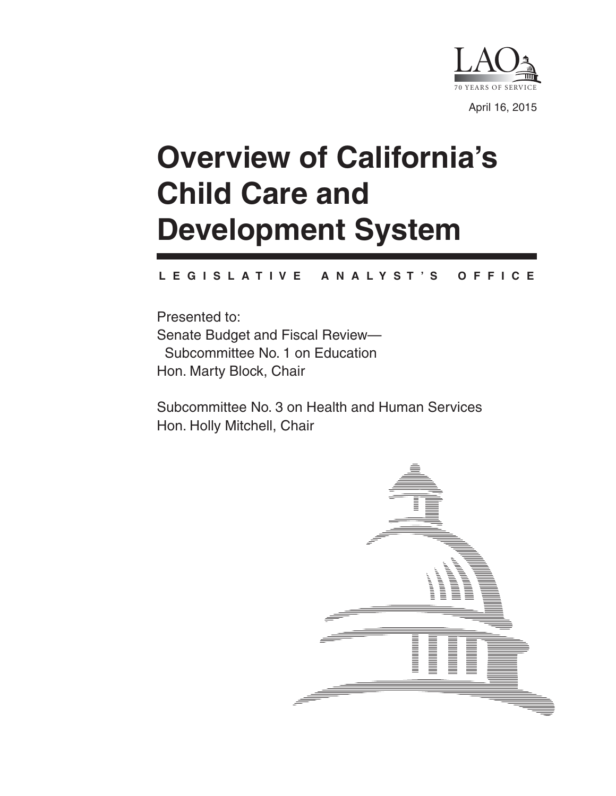

# **Overview of California's Child Care and Development System**

#### **L E G I S L A T I V E A N A L Y S T ' S O F F I C E**

Presented to: Senate Budget and Fiscal Review— Subcommittee No. 1 on Education Hon. Marty Block, Chair

Subcommittee No. 3 on Health and Human Services Hon. Holly Mitchell, Chair

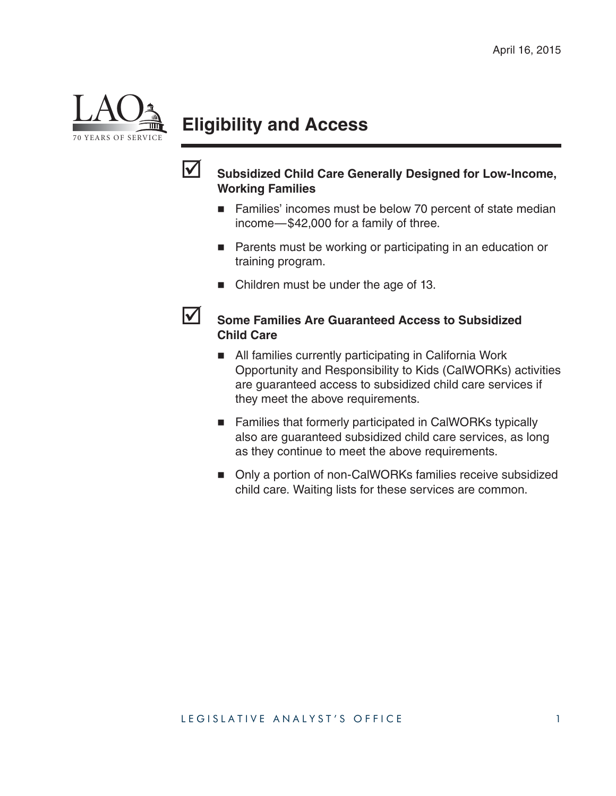

# **Eligibility and Access**



#### **Subsidized Child Care Generally Designed for Low-Income, Working Families**

- Families' incomes must be below 70 percent of state median income—\$42,000 for a family of three.
- **Parents must be working or participating in an education or** training program.
- Children must be under the age of 13.

#### **Some Families Are Guaranteed Access to Subsidized Child Care**

- All families currently participating in California Work Opportunity and Responsibility to Kids (CalWORKs) activities are guaranteed access to subsidized child care services if they meet the above requirements.
- Families that formerly participated in CalWORKs typically also are guaranteed subsidized child care services, as long as they continue to meet the above requirements.
- Only a portion of non-CalWORKs families receive subsidized child care. Waiting lists for these services are common.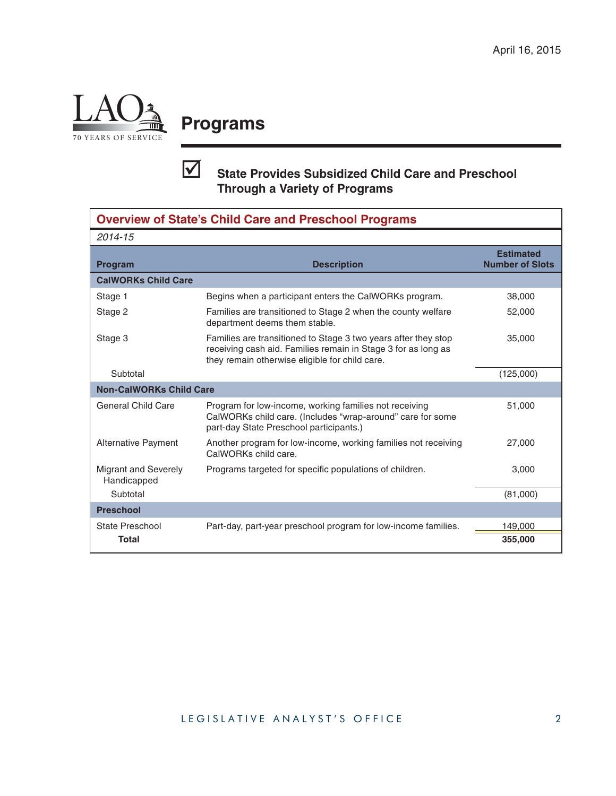

# **Programs**

### **State Provides Subsidized Child Care and Preschool Through a Variety of Programs**

| <b>Overview of State's Child Care and Preschool Programs</b> |                                                                                                                                                                                   |                                            |  |  |  |  |
|--------------------------------------------------------------|-----------------------------------------------------------------------------------------------------------------------------------------------------------------------------------|--------------------------------------------|--|--|--|--|
| 2014-15                                                      |                                                                                                                                                                                   |                                            |  |  |  |  |
| <b>Program</b>                                               | <b>Description</b>                                                                                                                                                                | <b>Estimated</b><br><b>Number of Slots</b> |  |  |  |  |
| <b>CalWORKs Child Care</b>                                   |                                                                                                                                                                                   |                                            |  |  |  |  |
| Stage 1                                                      | Begins when a participant enters the CalWORKs program.                                                                                                                            | 38,000                                     |  |  |  |  |
| Stage 2                                                      | Families are transitioned to Stage 2 when the county welfare<br>department deems them stable.                                                                                     | 52,000                                     |  |  |  |  |
| Stage 3                                                      | Families are transitioned to Stage 3 two years after they stop<br>receiving cash aid. Families remain in Stage 3 for as long as<br>they remain otherwise eligible for child care. | 35,000                                     |  |  |  |  |
| Subtotal                                                     |                                                                                                                                                                                   | (125,000)                                  |  |  |  |  |
| <b>Non-CalWORKs Child Care</b>                               |                                                                                                                                                                                   |                                            |  |  |  |  |
| <b>General Child Care</b>                                    | Program for low-income, working families not receiving<br>CalWORKs child care. (Includes "wrap-around" care for some<br>part-day State Preschool participants.)                   | 51,000                                     |  |  |  |  |
| Alternative Payment                                          | Another program for low-income, working families not receiving<br>CalWORKs child care.                                                                                            | 27,000                                     |  |  |  |  |
| <b>Migrant and Severely</b><br>Handicapped                   | Programs targeted for specific populations of children.                                                                                                                           | 3,000                                      |  |  |  |  |
| Subtotal                                                     |                                                                                                                                                                                   | (81,000)                                   |  |  |  |  |
| <b>Preschool</b>                                             |                                                                                                                                                                                   |                                            |  |  |  |  |
| State Preschool                                              | Part-day, part-year preschool program for low-income families.                                                                                                                    | 149,000                                    |  |  |  |  |
| <b>Total</b>                                                 |                                                                                                                                                                                   | 355,000                                    |  |  |  |  |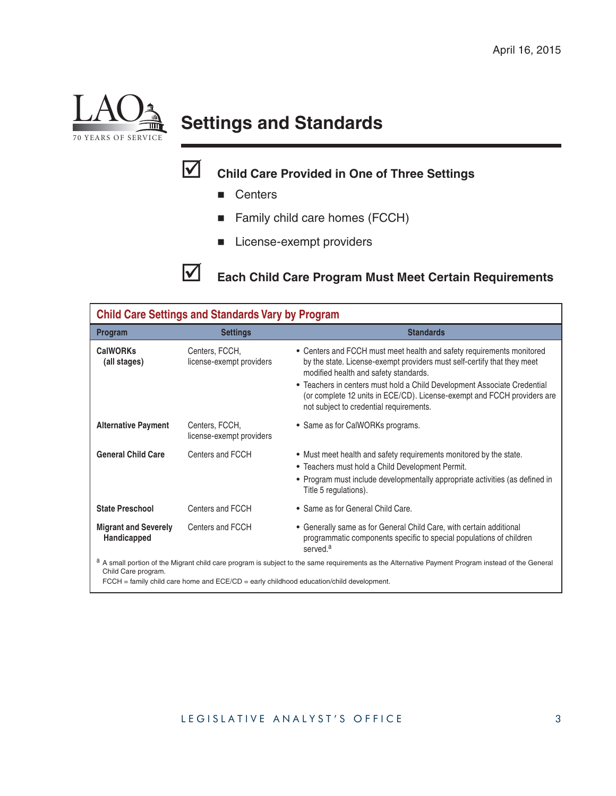

# **Settings and Standards**

## **Child Care Provided in One of Three Settings**

- **Centers**
- Family child care homes (FCCH)
- **License-exempt providers**

**Each Child Care Program Must Meet Certain Requirements**

| <b>Child Care Settings and Standards Vary by Program</b>                                                                                                                                   |                                            |                                                                                                                                                                                                                                 |  |  |  |  |  |
|--------------------------------------------------------------------------------------------------------------------------------------------------------------------------------------------|--------------------------------------------|---------------------------------------------------------------------------------------------------------------------------------------------------------------------------------------------------------------------------------|--|--|--|--|--|
| Program                                                                                                                                                                                    | <b>Settings</b>                            | <b>Standards</b>                                                                                                                                                                                                                |  |  |  |  |  |
| <b>CalWORKs</b><br>(all stages)                                                                                                                                                            | Centers, FCCH,<br>license-exempt providers | • Centers and FCCH must meet health and safety requirements monitored<br>by the state. License-exempt providers must self-certify that they meet<br>modified health and safety standards.                                       |  |  |  |  |  |
|                                                                                                                                                                                            |                                            | • Teachers in centers must hold a Child Development Associate Credential<br>(or complete 12 units in ECE/CD). License-exempt and FCCH providers are<br>not subject to credential requirements.                                  |  |  |  |  |  |
| <b>Alternative Payment</b>                                                                                                                                                                 | Centers, FCCH,<br>license-exempt providers | • Same as for CalWORKs programs.                                                                                                                                                                                                |  |  |  |  |  |
| <b>General Child Care</b>                                                                                                                                                                  | Centers and FCCH                           | • Must meet health and safety requirements monitored by the state.<br>• Teachers must hold a Child Development Permit.<br>• Program must include developmentally appropriate activities (as defined in<br>Title 5 regulations). |  |  |  |  |  |
| <b>State Preschool</b>                                                                                                                                                                     | Centers and FCCH                           | • Same as for General Child Care.                                                                                                                                                                                               |  |  |  |  |  |
| <b>Migrant and Severely</b><br>Handicapped                                                                                                                                                 | Centers and FCCH                           | • Generally same as for General Child Care, with certain additional<br>programmatic components specific to special populations of children<br>served. <sup>a</sup>                                                              |  |  |  |  |  |
| a A small portion of the Migrant child care program is subject to the same requirements as the Alternative Payment Program instead of the General<br>Child Care program.<br>$\blacksquare$ |                                            |                                                                                                                                                                                                                                 |  |  |  |  |  |

 $FCCH =$  family child care home and  $ECE/CD =$  early childhood education/child development.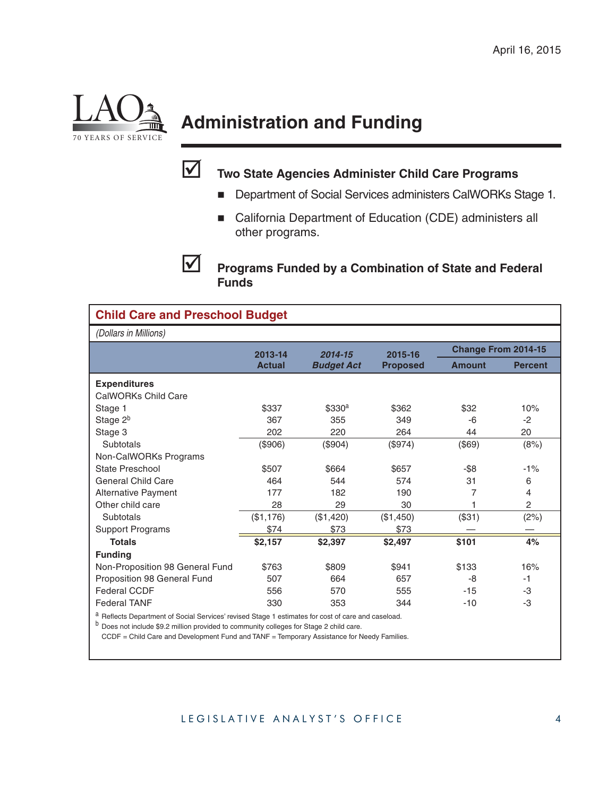

# **Administration and Funding**



### **Two State Agencies Administer Child Care Programs**

- **Department of Social Services administers CalWORKs Stage 1.**
- California Department of Education (CDE) administers all other programs.

**Programs Funded by a Combination of State and Federal Funds**

| <b>Child Care and Preschool Budget</b>                                                           |               |                              |                            |                            |                |  |  |  |
|--------------------------------------------------------------------------------------------------|---------------|------------------------------|----------------------------|----------------------------|----------------|--|--|--|
| (Dollars in Millions)                                                                            |               |                              |                            |                            |                |  |  |  |
|                                                                                                  | 2013-14       | 2014-15<br><b>Budget Act</b> | 2015-16<br><b>Proposed</b> | <b>Change From 2014-15</b> |                |  |  |  |
|                                                                                                  | <b>Actual</b> |                              |                            | <b>Amount</b>              | <b>Percent</b> |  |  |  |
| <b>Expenditures</b>                                                                              |               |                              |                            |                            |                |  |  |  |
| CalWORKs Child Care                                                                              |               |                              |                            |                            |                |  |  |  |
| Stage 1                                                                                          | \$337         | \$330 <sup>a</sup>           | \$362                      | \$32                       | 10%            |  |  |  |
| Stage 2 <sup>b</sup>                                                                             | 367           | 355                          | 349                        | -6                         | $-2$           |  |  |  |
| Stage 3                                                                                          | 202           | 220                          | 264                        | 44                         | 20             |  |  |  |
| Subtotals                                                                                        | (\$906)       | (\$904)                      | (\$974)                    | (\$69)                     | (8%)           |  |  |  |
| Non-CalWORKs Programs                                                                            |               |                              |                            |                            |                |  |  |  |
| State Preschool                                                                                  | \$507         | \$664                        | \$657                      | -\$8                       | $-1%$          |  |  |  |
| <b>General Child Care</b>                                                                        | 464           | 544                          | 574                        | 31                         | 6              |  |  |  |
| <b>Alternative Payment</b>                                                                       | 177           | 182                          | 190                        | 7                          | 4              |  |  |  |
| Other child care                                                                                 | 28            | 29                           | 30                         |                            | $\overline{c}$ |  |  |  |
| Subtotals                                                                                        | (\$1,176)     | (\$1,420)                    | (\$1,450)                  | (\$31)                     | (2%)           |  |  |  |
| <b>Support Programs</b>                                                                          | \$74          | \$73                         | \$73                       |                            |                |  |  |  |
| <b>Totals</b>                                                                                    | \$2,157       | \$2,397                      | \$2,497                    | \$101                      | 4%             |  |  |  |
| <b>Funding</b>                                                                                   |               |                              |                            |                            |                |  |  |  |
| Non-Proposition 98 General Fund                                                                  | \$763         | \$809                        | \$941                      | \$133                      | 16%            |  |  |  |
| Proposition 98 General Fund                                                                      | 507           | 664                          | 657                        | -8                         | $-1$           |  |  |  |
| <b>Federal CCDF</b>                                                                              | 556           | 570                          | 555                        | $-15$                      | -3             |  |  |  |
| <b>Federal TANF</b>                                                                              | 330           | 353                          | 344                        | $-10$                      | -3             |  |  |  |
| Reflects Department of Social Services' revised Stage 1 estimates for cost of care and caseload. |               |                              |                            |                            |                |  |  |  |

<sup>b</sup> Does not include \$9.2 million provided to community colleges for Stage 2 child care.

CCDF = Child Care and Development Fund and TANF = Temporary Assistance for Needy Families.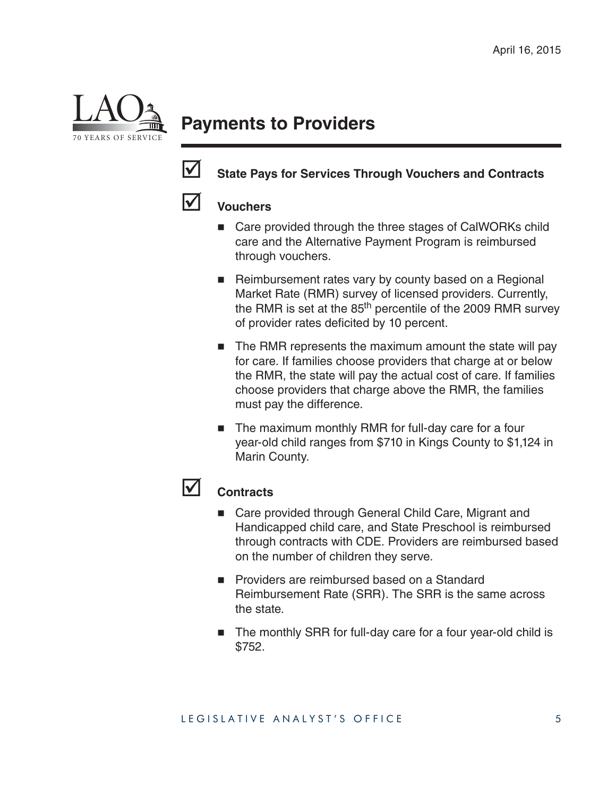

# **Payments to Providers**



### State Pays for Services Through Vouchers and Contracts



#### **Vouchers**

- Care provided through the three stages of CalWORKs child care and the Alternative Payment Program is reimbursed through vouchers.
- Reimbursement rates vary by county based on a Regional Market Rate (RMR) survey of licensed providers. Currently, the RMR is set at the  $85<sup>th</sup>$  percentile of the 2009 RMR survey of provider rates deficited by 10 percent.
- The RMR represents the maximum amount the state will pay for care. If families choose providers that charge at or below the RMR, the state will pay the actual cost of care. If families choose providers that charge above the RMR, the families must pay the difference.
- The maximum monthly RMR for full-day care for a four year-old child ranges from \$710 in Kings County to \$1,124 in Marin County.

#### **Contracts**

- Care provided through General Child Care, Migrant and Handicapped child care, and State Preschool is reimbursed through contracts with CDE. Providers are reimbursed based on the number of children they serve.
- **Providers are reimbursed based on a Standard** Reimbursement Rate (SRR). The SRR is the same across the state.
- The monthly SRR for full-day care for a four year-old child is \$752.